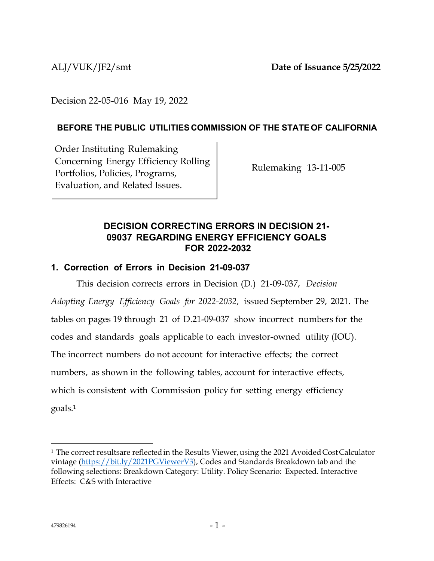ALJ/VUK/JF2/smt **Date of Issuance 5/25/2022**

Decision 22-05-016 May 19, 2022

## **BEFORE THE PUBLIC UTILITIES COMMISSION OF THE STATE OF CALIFORNIA**

Order Instituting Rulemaking Concerning Energy Efficiency Rolling Portfolios, Policies, Programs, Evaluation, and Related Issues.

Rulemaking 13-11-005

## **DECISION CORRECTING ERRORS IN DECISION 21- 09037 REGARDING ENERGY EFFICIENCY GOALS FOR 2022-2032**

## **1. Correction of Errors in Decision 21-09-037**

This decision corrects errors in Decision (D.) 21-09-037, *Decision Adopting Energy Efficiency Goals for 2022-2032*, issued September 29, 2021. The tables on pages 19 through 21 of D.21-09-037 show incorrect numbers for the codes and standards goals applicable to each investor-owned utility (IOU). The incorrect numbers do not account for interactive effects; the correct numbers, as shown in the following tables, account for interactive effects, which is consistent with Commission policy for setting energy efficiency goal[s.](#page-0-0) 1

<span id="page-0-0"></span><sup>&</sup>lt;sup>1</sup> The correct resultsare reflected in the Results Viewer, using the 2021 Avoided Cost Calculator vintage [\(https://bit.ly/2021PGViewerV3\)](https://bit.ly/2021PGViewerV3), Codes and Standards Breakdown tab and the following selections: Breakdown Category: Utility. Policy Scenario: Expected. Interactive Effects: C&S with Interactive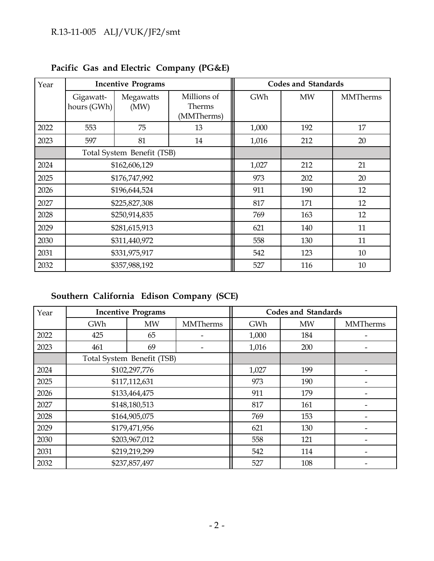| Year | <b>Incentive Programs</b>  |                   |                                     |       | <b>Codes and Standards</b> |                 |
|------|----------------------------|-------------------|-------------------------------------|-------|----------------------------|-----------------|
|      | Gigawatt-<br>hours (GWh)   | Megawatts<br>(MW) | Millions of<br>Therms<br>(MMTherms) | GWh   | <b>MW</b>                  | <b>MMTherms</b> |
| 2022 | 553                        | 75                | 13                                  | 1,000 | 192                        | 17              |
| 2023 | 597                        | 81                | 14                                  | 1,016 | 212                        | 20              |
|      | Total System Benefit (TSB) |                   |                                     |       |                            |                 |
| 2024 | \$162,606,129              |                   |                                     | 1,027 | 212                        | 21              |
| 2025 | \$176,747,992              |                   |                                     | 973   | 202                        | 20              |
| 2026 | \$196,644,524              |                   |                                     | 911   | 190                        | 12              |
| 2027 |                            | \$225,827,308     |                                     | 817   | 171                        | 12              |
| 2028 |                            | \$250,914,835     |                                     | 769   | 163                        | 12              |
| 2029 | \$281,615,913              |                   |                                     | 621   | 140                        | 11              |
| 2030 | \$311,440,972              |                   |                                     | 558   | 130                        | 11              |
| 2031 | \$331,975,917              |                   |                                     | 542   | 123                        | 10              |
| 2032 |                            | \$357,988,192     |                                     | 527   | 116                        | 10              |

**Pacific Gas and Electric Company (PG&E)**

# **Southern California Edison Company (SCE)**

| Year | <b>Codes and Standards</b><br><b>Incentive Programs</b> |               |                 |       |           |                          |
|------|---------------------------------------------------------|---------------|-----------------|-------|-----------|--------------------------|
|      | <b>GWh</b>                                              | <b>MW</b>     | <b>MMTherms</b> | GWh   | <b>MW</b> | <b>MMTherms</b>          |
| 2022 | 425                                                     | 65            |                 | 1,000 | 184       |                          |
| 2023 | 461                                                     | 69            |                 | 1,016 | 200       |                          |
|      | Total System Benefit (TSB)                              |               |                 |       |           |                          |
| 2024 | \$102,297,776                                           |               |                 | 1,027 | 199       |                          |
| 2025 | \$117,112,631                                           |               |                 | 973   | 190       |                          |
| 2026 | \$133,464,475                                           |               |                 | 911   | 179       |                          |
| 2027 |                                                         | \$148,180,513 |                 | 817   | 161       |                          |
| 2028 |                                                         | \$164,905,075 |                 | 769   | 153       |                          |
| 2029 | \$179,471,956                                           |               |                 | 621   | 130       | $\overline{\phantom{0}}$ |
| 2030 | \$203,967,012                                           |               |                 | 558   | 121       |                          |
| 2031 | \$219,219,299                                           |               |                 | 542   | 114       |                          |
| 2032 |                                                         | \$237,857,497 |                 | 527   | 108       |                          |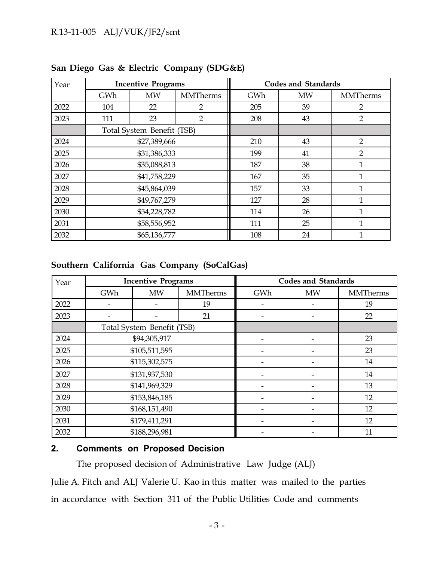## R.13-11-005 ALJ/VUK/JF2/smt

| Year |                            | <b>Incentive Programs</b> |                 |     | <b>Codes and Standards</b> |                 |
|------|----------------------------|---------------------------|-----------------|-----|----------------------------|-----------------|
|      | GWh                        | <b>MW</b>                 | <b>MMTherms</b> | GWh | <b>MW</b>                  | <b>MMTherms</b> |
| 2022 | 104                        | 22                        | $\overline{2}$  | 205 | 39                         | 2               |
| 2023 | 111                        | 23                        | $\overline{2}$  | 208 | 43                         | $\overline{2}$  |
|      | Total System Benefit (TSB) |                           |                 |     |                            |                 |
| 2024 | \$27,389,666               |                           |                 | 210 | 43                         | $\overline{2}$  |
| 2025 | \$31,386,333               |                           |                 | 199 | 41                         | $\overline{2}$  |
| 2026 | \$35,088,813               |                           |                 | 187 | 38                         | 1               |
| 2027 |                            | \$41,758,229              |                 | 167 | 35                         |                 |
| 2028 |                            | \$45,864,039              |                 | 157 | 33                         |                 |
| 2029 | \$49,767,279               |                           |                 | 127 | 28                         |                 |
| 2030 | \$54,228,782               |                           |                 | 114 | 26                         |                 |
| 2031 | \$58,556,952               |                           |                 | 111 | 25                         |                 |
| 2032 |                            | \$65,136,777              |                 | 108 | 24                         |                 |

## **San Diego Gas & Electric Company (SDG&E)**

### **Southern California Gas Company (SoCalGas)**

| Year | <b>Incentive Programs</b>  |               |                 |     | <b>Codes and Standards</b> |                 |
|------|----------------------------|---------------|-----------------|-----|----------------------------|-----------------|
|      | GWh                        | <b>MW</b>     | <b>MMTherms</b> | GWh | <b>MW</b>                  | <b>MMTherms</b> |
| 2022 |                            |               | 19              |     |                            | 19              |
| 2023 |                            |               | 21              |     | $\overline{\phantom{a}}$   | 22              |
|      | Total System Benefit (TSB) |               |                 |     |                            |                 |
| 2024 | \$94,305,917               |               |                 |     |                            | 23              |
| 2025 | \$105,511,595              |               |                 |     |                            | 23              |
| 2026 | \$115,302,575              |               |                 |     | -                          | 14              |
| 2027 | \$131,937,530              |               |                 |     |                            | 14              |
| 2028 |                            | \$141,969,329 |                 |     |                            | 13              |
| 2029 | \$153,846,185              |               |                 |     |                            | 12              |
| 2030 | \$168,151,490              |               |                 |     |                            | 12              |
| 2031 | \$179,411,291              |               |                 |     |                            | 12              |
| 2032 |                            | \$188,296,981 |                 |     |                            | 11              |

## **2. Comments on Proposed Decision**

The proposed decision of Administrative Law Judge (ALJ)

Julie A. Fitch and ALJ Valerie U. Kao in this matter was mailed to the parties in accordance with Section 311 of the Public Utilities Code and comments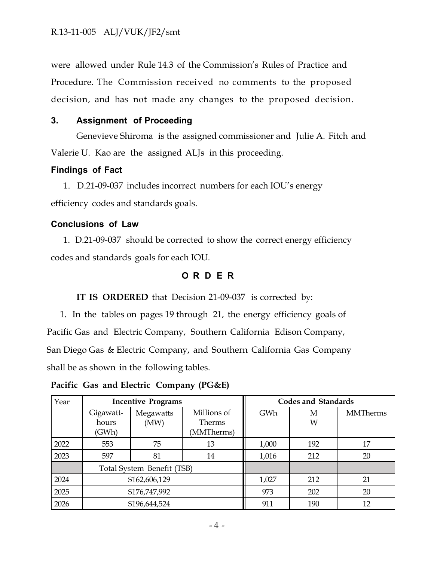were allowed under Rule 14.3 of the Commission's Rules of Practice and Procedure. The Commission received no comments to the proposed decision, and has not made any changes to the proposed decision.

#### **3. Assignment of Proceeding**

Genevieve Shiroma is the assigned commissioner and Julie A. Fitch and Valerie U. Kao are the assigned ALJs in this proceeding.

#### **Findings of Fact**

1. D.21-09-037 includes incorrect numbers for each IOU's energy efficiency codes and standards goals.

#### **Conclusions of Law**

1. D.21-09-037 should be corrected to show the correct energy efficiency codes and standards goals for each IOU.

#### **O R D E R**

#### **IT IS ORDERED** that Decision 21-09-037 is corrected by:

1. In the tables on pages 19 through 21, the energy efficiency goals of Pacific Gas and Electric Company, Southern California Edison Company, San Diego Gas & Electric Company, and Southern California Gas Company shall be as shown in the following tables.

**Pacific Gas and Electric Company (PG&E)**

| Year | <b>Incentive Programs</b>   |                   |                                     | Codes and Standards |        |                 |
|------|-----------------------------|-------------------|-------------------------------------|---------------------|--------|-----------------|
|      | Gigawatt-<br>hours<br>(GWh) | Megawatts<br>(MW) | Millions of<br>Therms<br>(MMTherms) | GWh                 | М<br>W | <b>MMTherms</b> |
| 2022 | 553                         | 75                | 13                                  | 1,000               | 192    | 17              |
| 2023 | 597                         | 81                | 14                                  | 1,016               | 212    | 20              |
|      | Total System Benefit (TSB)  |                   |                                     |                     |        |                 |
| 2024 | \$162,606,129               |                   |                                     | 1,027               | 212    | 21              |
| 2025 | \$176,747,992               |                   |                                     | 973                 | 202    | 20              |
| 2026 |                             | \$196,644,524     |                                     | 911                 | 190    | 12              |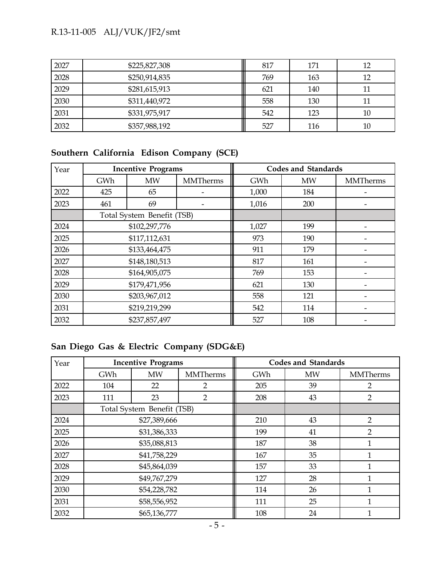# R.13-11-005 ALJ/VUK/JF2/smt

| 2027 | \$225,827,308 | 817 | 171 | 12 |
|------|---------------|-----|-----|----|
| 2028 | \$250,914,835 | 769 | 163 | 12 |
| 2029 | \$281,615,913 | 621 | 140 |    |
| 2030 | \$311,440,972 | 558 | 130 |    |
| 2031 | \$331,975,917 | 542 | 123 | 10 |
| 2032 | \$357,988,192 | 527 | 116 | 10 |

## **Southern California Edison Company (SCE)**

| Year | <b>Incentive Programs</b>  |               |                 |       | <b>Codes and Standards</b> |                 |
|------|----------------------------|---------------|-----------------|-------|----------------------------|-----------------|
|      | GWh                        | <b>MW</b>     | <b>MMTherms</b> | GWh   | <b>MW</b>                  | <b>MMTherms</b> |
| 2022 | 425                        | 65            |                 | 1,000 | 184                        |                 |
| 2023 | 461                        | 69            |                 | 1,016 | 200                        |                 |
|      | Total System Benefit (TSB) |               |                 |       |                            |                 |
| 2024 | \$102,297,776              |               |                 | 1,027 | 199                        |                 |
| 2025 | \$117,112,631              |               |                 | 973   | 190                        |                 |
| 2026 | \$133,464,475              |               |                 | 911   | 179                        |                 |
| 2027 |                            | \$148,180,513 |                 | 817   | 161                        |                 |
| 2028 |                            | \$164,905,075 |                 | 769   | 153                        |                 |
| 2029 | \$179,471,956              |               |                 | 621   | 130                        |                 |
| 2030 | \$203,967,012              |               |                 | 558   | 121                        |                 |
| 2031 | \$219,219,299              |               |                 | 542   | 114                        |                 |
| 2032 |                            | \$237,857,497 |                 | 527   | 108                        |                 |

## **San Diego Gas & Electric Company (SDG&E)**

| Year | <b>Incentive Programs</b>  |              |                 | <b>Codes and Standards</b> |           |                 |
|------|----------------------------|--------------|-----------------|----------------------------|-----------|-----------------|
|      | GWh                        | <b>MW</b>    | <b>MMTherms</b> | GWh                        | <b>MW</b> | <b>MMTherms</b> |
| 2022 | 104                        | 22           | $\overline{2}$  | 205                        | 39        | 2               |
| 2023 | 111                        | 23           | $\overline{2}$  | 208                        | 43        | $\overline{2}$  |
|      | Total System Benefit (TSB) |              |                 |                            |           |                 |
| 2024 | \$27,389,666               |              |                 | 210                        | 43        | 2               |
| 2025 | \$31,386,333               |              |                 | 199                        | 41        | $\overline{2}$  |
| 2026 | \$35,088,813               |              |                 | 187                        | 38        | 1               |
| 2027 |                            | \$41,758,229 |                 | 167                        | 35        |                 |
| 2028 |                            | \$45,864,039 |                 | 157                        | 33        |                 |
| 2029 | \$49,767,279               |              |                 | 127                        | 28        |                 |
| 2030 | \$54,228,782               |              |                 | 114                        | 26        |                 |
| 2031 | \$58,556,952               |              |                 | 111                        | 25        |                 |
| 2032 |                            | \$65,136,777 |                 | 108                        | 24        | 1               |